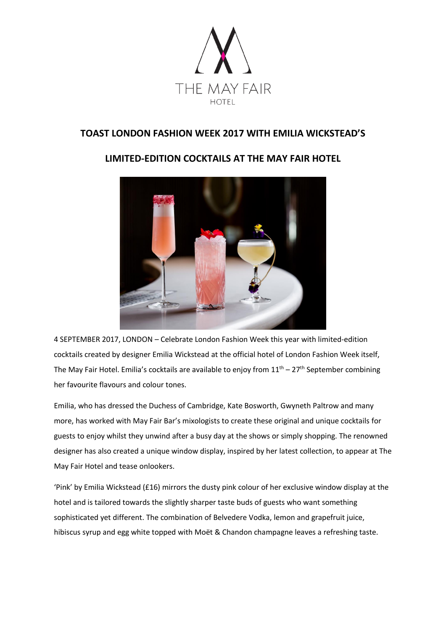

# **TOAST LONDON FASHION WEEK 2017 WITH EMILIA WICKSTEAD'S**

# **LIMITED-EDITION COCKTAILS AT THE MAY FAIR HOTEL**



4 SEPTEMBER 2017, LONDON – Celebrate London Fashion Week this year with limited-edition cocktails created by designer Emilia Wickstead at the official hotel of London Fashion Week itself, The May Fair Hotel. Emilia's cocktails are available to enjoy from  $11<sup>th</sup> - 27<sup>th</sup>$  September combining her favourite flavours and colour tones.

Emilia, who has dressed the Duchess of Cambridge, Kate Bosworth, Gwyneth Paltrow and many more, has worked with May Fair Bar's mixologists to create these original and unique cocktails for guests to enjoy whilst they unwind after a busy day at the shows or simply shopping. The renowned designer has also created a unique window display, inspired by her latest collection, to appear at The May Fair Hotel and tease onlookers.

'Pink' by Emilia Wickstead (£16) mirrors the dusty pink colour of her exclusive window display at the hotel and is tailored towards the slightly sharper taste buds of guests who want something sophisticated yet different. The combination of Belvedere Vodka, lemon and grapefruit juice, hibiscus syrup and egg white topped with Moët & Chandon champagne leaves a refreshing taste.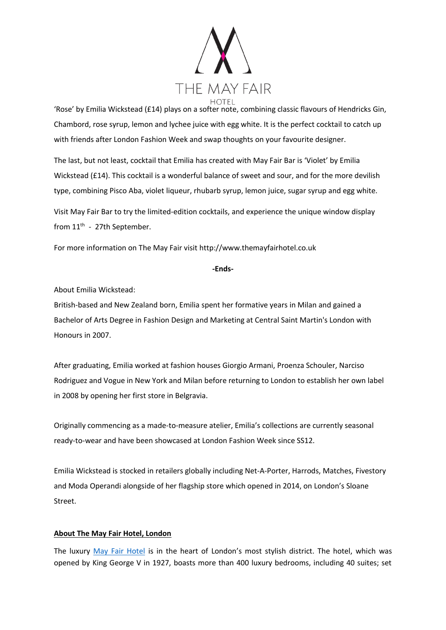

'Rose' by Emilia Wickstead (£14) plays on a softer note, combining classic flavours of Hendricks Gin, Chambord, rose syrup, lemon and lychee juice with egg white. It is the perfect cocktail to catch up with friends after London Fashion Week and swap thoughts on your favourite designer.

The last, but not least, cocktail that Emilia has created with May Fair Bar is 'Violet' by Emilia Wickstead (£14). This cocktail is a wonderful balance of sweet and sour, and for the more devilish type, combining Pisco Aba, violet liqueur, rhubarb syrup, lemon juice, sugar syrup and egg white.

Visit May Fair Bar to try the limited-edition cocktails, and experience the unique window display from 11<sup>th</sup> - 27th September.

For more information on The May Fair visit http://www.themayfairhotel.co.uk

### **-Ends-**

About Emilia Wickstead:

British-based and New Zealand born, Emilia spent her formative years in Milan and gained a Bachelor of Arts Degree in Fashion Design and Marketing at Central Saint Martin's London with Honours in 2007.

After graduating, Emilia worked at fashion houses Giorgio Armani, Proenza Schouler, Narciso Rodriguez and Vogue in New York and Milan before returning to London to establish her own label in 2008 by opening her first store in Belgravia.

Originally commencing as a made-to-measure atelier, Emilia's collections are currently seasonal ready-to-wear and have been showcased at London Fashion Week since SS12.

Emilia Wickstead is stocked in retailers globally including Net-A-Porter, Harrods, Matches, Fivestory and Moda Operandi alongside of her flagship store which opened in 2014, on London's Sloane Street.

## **About The May Fair Hotel, London**

The luxury [May Fair Hotel](http://www.themayfairhotel.co.uk/) is in the heart of London's most stylish district. The hotel, which was opened by King George V in 1927, boasts more than 400 luxury bedrooms, including 40 suites; set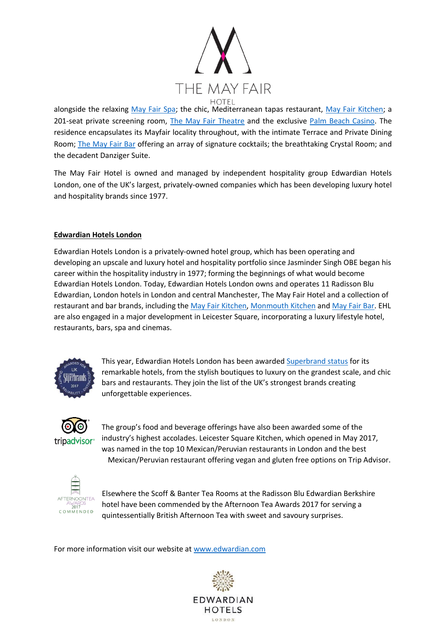

alongside the relaxing [May Fair Spa;](http://www.themayfairhotel.co.uk/spa) the chic, Mediterranean tapas restaurant, [May Fair Kitchen;](http://www.mayfairkitchen.co.uk/) a 201-seat private screening room, [The May Fair Theatre](http://www.themayfairhotel.co.uk/video/the-theatre) and the exclusive [Palm Beach Casino.](http://www.thepalmbeach.co.uk/) The residence encapsulates its Mayfair locality throughout, with the intimate Terrace and Private Dining Room; [The May Fair Bar](http://www.themayfairhotel.co.uk/bar) offering an array of signature cocktails; the breathtaking Crystal Room; and the decadent Danziger Suite.

The May Fair Hotel is owned and managed by independent hospitality group Edwardian Hotels London, one of the UK's largest, privately-owned companies which has been developing luxury hotel and hospitality brands since 1977.

## **Edwardian Hotels London**

Edwardian Hotels London is a privately-owned hotel group, which has been operating and developing an upscale and luxury hotel and hospitality portfolio since Jasminder Singh OBE began his career within the hospitality industry in 1977; forming the beginnings of what would become Edwardian Hotels London. Today, Edwardian Hotels London owns and operates 11 Radisson Blu Edwardian, London hotels in London and central Manchester, The May Fair Hotel and a collection of restaurant and bar brands, including the [May Fair Kitchen,](http://www.mayfairkitchen.co.uk/) [Monmouth Kitchen](http://www.monmouthkitchen.co.uk/) and [May Fair Bar.](http://www.mayfairbar.co.uk/) EHL are also engaged in a major development in Leicester Square, incorporating a luxury lifestyle hotel, restaurants, bars, spa and cinemas.



This year, Edwardian Hotels London has been awarde[d Superbrand status](http://www.superbrands.uk.com/content/2016/2/18/edwardian-hotels-london) for its remarkable hotels, from the stylish boutiques to luxury on the grandest scale, and chic bars and restaurants. They join the list of the UK's strongest brands creating unforgettable experiences.



The group's food and beverage offerings have also been awarded some of the industry's highest accolades. Leicester Square Kitchen, which opened in May 2017, was named in the top 10 Mexican/Peruvian restaurants in London and the best Mexican/Peruvian restaurant offering vegan and gluten free options on Trip Advisor.



Elsewhere the Scoff & Banter Tea Rooms at the Radisson Blu Edwardian Berkshire hotel have been commended by the Afternoon Tea Awards 2017 for serving a quintessentially British Afternoon Tea with sweet and savoury surprises.

For more information visit our website a[t www.edwardian.com](http://www.edwardian.com/)